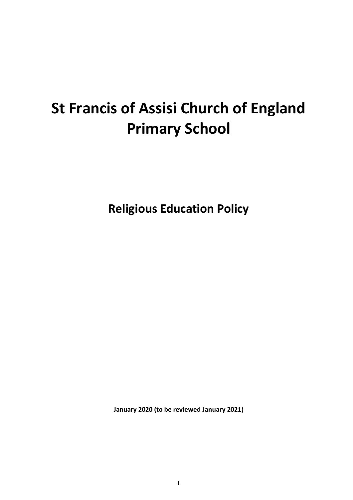# **St Francis of Assisi Church of England Primary School**

**Religious Education Policy**

**January 2020 (to be reviewed January 2021)**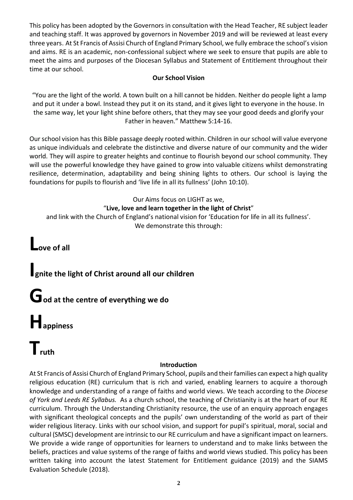This policy has been adopted by the Governors in consultation with the Head Teacher, RE subject leader and teaching staff. It was approved by governors in November 2019 and will be reviewed at least every three years. At St Francis of Assisi Church of England Primary School, we fully embrace the school's vision and aims. RE is an academic, non-confessional subject where we seek to ensure that pupils are able to meet the aims and purposes of the Diocesan Syllabus and Statement of Entitlement throughout their time at our school.

#### **Our School Vision**

"You are the light of the world. A town built on a hill cannot be hidden. Neither do people light a lamp and put it under a bowl. Instead they put it on its stand, and it gives light to everyone in the house. In the same way, let your light shine before others, that they may see your good deeds and glorify your Father in heaven." Matthew 5:14-16.

Our school vision has this Bible passage deeply rooted within. Children in our school will value everyone as unique individuals and celebrate the distinctive and diverse nature of our community and the wider world. They will aspire to greater heights and continue to flourish beyond our school community. They will use the powerful knowledge they have gained to grow into valuable citizens whilst demonstrating resilience, determination, adaptability and being shining lights to others. Our school is laying the foundations for pupils to flourish and 'live life in all its fullness' (John 10:10).

#### Our Aims focus on LIGHT as we, "**Live, love and learn together in the light of Christ**"

and link with the Church of England's national vision for 'Education for life in all its fullness'. We demonstrate this through:

**Love of all**

# **Ignite the light of Christ around all our children**

**God at the centre of everything we do**

# **Happiness**

# **Truth**

# **Introduction**

At St Francis of Assisi Church of England Primary School, pupils and their families can expect a high quality religious education (RE) curriculum that is rich and varied, enabling learners to acquire a thorough knowledge and understanding of a range of faiths and world views. We teach according to the *Diocese of York and Leeds RE Syllabus.* As a church school, the teaching of Christianity is at the heart of our RE curriculum. Through the Understanding Christianity resource, the use of an enquiry approach engages with significant theological concepts and the pupils' own understanding of the world as part of their wider religious literacy. Links with our school vision, and support for pupil's spiritual, moral, social and cultural (SMSC) development are intrinsic to our RE curriculum and have a significant impact on learners. We provide a wide range of opportunities for learners to understand and to make links between the beliefs, practices and value systems of the range of faiths and world views studied. This policy has been written taking into account the latest Statement for Entitlement guidance (2019) and the SIAMS Evaluation Schedule (2018).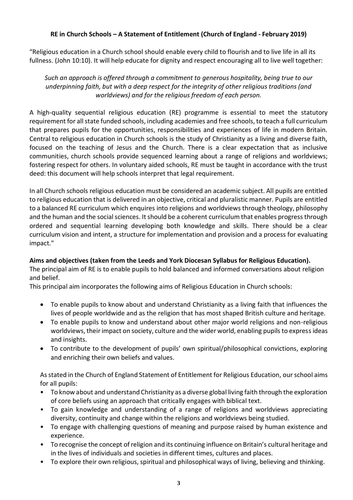# **RE in Church Schools – A Statement of Entitlement (Church of England - February 2019)**

"Religious education in a Church school should enable every child to flourish and to live life in all its fullness. (John 10:10). It will help educate for dignity and respect encouraging all to live well together:

*Such an approach is offered through a commitment to generous hospitality, being true to our underpinning faith, but with a deep respect for the integrity of other religious traditions (and worldviews) and for the religious freedom of each person.*

A high-quality sequential religious education (RE) programme is essential to meet the statutory requirement for all state funded schools, including academies and free schools, to teach a full curriculum that prepares pupils for the opportunities, responsibilities and experiences of life in modern Britain. Central to religious education in Church schools is the study of Christianity as a living and diverse faith, focused on the teaching of Jesus and the Church. There is a clear expectation that as inclusive communities, church schools provide sequenced learning about a range of religions and worldviews; fostering respect for others. In voluntary aided schools, RE must be taught in accordance with the trust deed: this document will help schools interpret that legal requirement.

In all Church schools religious education must be considered an academic subject. All pupils are entitled to religious education that is delivered in an objective, critical and pluralistic manner. Pupils are entitled to a balanced RE curriculum which enquires into religions and worldviews through theology, philosophy and the human and the social sciences. It should be a coherent curriculum that enables progress through ordered and sequential learning developing both knowledge and skills. There should be a clear curriculum vision and intent, a structure for implementation and provision and a process for evaluating impact."

#### **Aims and objectives (taken from the Leeds and York Diocesan Syllabus for Religious Education).**

The principal aim of RE is to enable pupils to hold balanced and informed conversations about religion and belief.

This principal aim incorporates the following aims of Religious Education in Church schools:

- To enable pupils to know about and understand Christianity as a living faith that influences the lives of people worldwide and as the religion that has most shaped British culture and heritage.
- To enable pupils to know and understand about other major world religions and non-religious worldviews, their impact on society, culture and the wider world, enabling pupils to express ideas and insights.
- To contribute to the development of pupils' own spiritual/philosophical convictions, exploring and enriching their own beliefs and values.

As stated in the Church of England Statement of Entitlement for Religious Education, our school aims for all pupils:

- To know about and understand Christianity as a diverse global living faith through the exploration of core beliefs using an approach that critically engages with biblical text.
- To gain knowledge and understanding of a range of religions and worldviews appreciating diversity, continuity and change within the religions and worldviews being studied.
- To engage with challenging questions of meaning and purpose raised by human existence and experience.
- To recognise the concept of religion and its continuing influence on Britain's cultural heritage and in the lives of individuals and societies in different times, cultures and places.
- To explore their own religious, spiritual and philosophical ways of living, believing and thinking.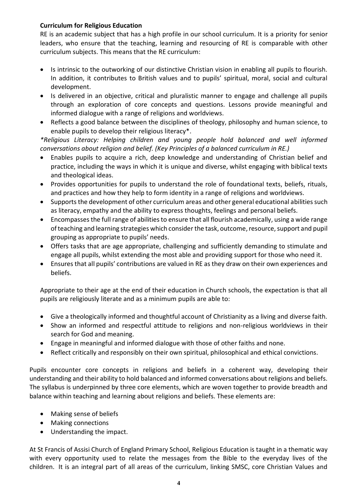#### **Curriculum for Religious Education**

RE is an academic subject that has a high profile in our school curriculum. It is a priority for senior leaders, who ensure that the teaching, learning and resourcing of RE is comparable with other curriculum subjects. This means that the RE curriculum:

- Is intrinsic to the outworking of our distinctive Christian vision in enabling all pupils to flourish. In addition, it contributes to British values and to pupils' spiritual, moral, social and cultural development.
- Is delivered in an objective, critical and pluralistic manner to engage and challenge all pupils through an exploration of core concepts and questions. Lessons provide meaningful and informed dialogue with a range of religions and worldviews.
- Reflects a good balance between the disciplines of theology, philosophy and human science, to enable pupils to develop their religious literacy\*.

*\*Religious Literacy: Helping children and young people hold balanced and well informed conversations about religion and belief. (Key Principles of a balanced curriculum in RE.)*

- Enables pupils to acquire a rich, deep knowledge and understanding of Christian belief and practice, including the ways in which it is unique and diverse, whilst engaging with biblical texts and theological ideas.
- Provides opportunities for pupils to understand the role of foundational texts, beliefs, rituals, and practices and how they help to form identity in a range of religions and worldviews.
- Supports the development of other curriculum areas and other general educational abilities such as literacy, empathy and the ability to express thoughts, feelings and personal beliefs.
- Encompasses the full range of abilities to ensure that all flourish academically, using a wide range of teaching and learning strategies which consider the task, outcome, resource, support and pupil grouping as appropriate to pupils' needs.
- Offers tasks that are age appropriate, challenging and sufficiently demanding to stimulate and engage all pupils, whilst extending the most able and providing support for those who need it.
- Ensures that all pupils' contributions are valued in RE as they draw on their own experiences and beliefs.

Appropriate to their age at the end of their education in Church schools, the expectation is that all pupils are religiously literate and as a minimum pupils are able to:

- Give a theologically informed and thoughtful account of Christianity as a living and diverse faith.
- Show an informed and respectful attitude to religions and non-religious worldviews in their search for God and meaning.
- Engage in meaningful and informed dialogue with those of other faiths and none.
- Reflect critically and responsibly on their own spiritual, philosophical and ethical convictions.

Pupils encounter core concepts in religions and beliefs in a coherent way, developing their understanding and their ability to hold balanced and informed conversations about religions and beliefs. The syllabus is underpinned by three core elements, which are woven together to provide breadth and balance within teaching and learning about religions and beliefs. These elements are:

- Making sense of beliefs
- Making connections
- Understanding the impact.

At St Francis of Assisi Church of England Primary School, Religious Education is taught in a thematic way with every opportunity used to relate the messages from the Bible to the everyday lives of the children. It is an integral part of all areas of the curriculum, linking SMSC, core Christian Values and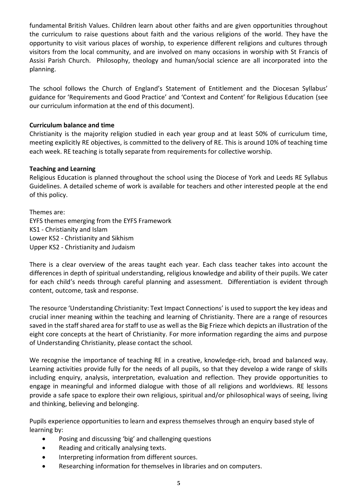fundamental British Values. Children learn about other faiths and are given opportunities throughout the curriculum to raise questions about faith and the various religions of the world. They have the opportunity to visit various places of worship, to experience different religions and cultures through visitors from the local community, and are involved on many occasions in worship with St Francis of Assisi Parish Church. Philosophy, theology and human/social science are all incorporated into the planning.

The school follows the Church of England's Statement of Entitlement and the Diocesan Syllabus' guidance for 'Requirements and Good Practice' and 'Context and Content' for Religious Education (see our curriculum information at the end of this document).

#### **Curriculum balance and time**

Christianity is the majority religion studied in each year group and at least 50% of curriculum time, meeting explicitly RE objectives, is committed to the delivery of RE. This is around 10% of teaching time each week. RE teaching is totally separate from requirements for collective worship.

#### **Teaching and Learning**

Religious Education is planned throughout the school using the Diocese of York and Leeds RE Syllabus Guidelines. A detailed scheme of work is available for teachers and other interested people at the end of this policy.

Themes are: EYFS themes emerging from the EYFS Framework KS1 - Christianity and Islam Lower KS2 - Christianity and Sikhism Upper KS2 - Christianity and Judaism

There is a clear overview of the areas taught each year. Each class teacher takes into account the differences in depth of spiritual understanding, religious knowledge and ability of their pupils. We cater for each child's needs through careful planning and assessment. Differentiation is evident through content, outcome, task and response.

The resource 'Understanding Christianity: Text Impact Connections' is used to support the key ideas and crucial inner meaning within the teaching and learning of Christianity. There are a range of resources saved in the staff shared area for staff to use as well as the Big Frieze which depicts an illustration of the eight core concepts at the heart of Christianity. For more information regarding the aims and purpose of Understanding Christianity, please contact the school.

We recognise the importance of teaching RE in a creative, knowledge-rich, broad and balanced way. Learning activities provide fully for the needs of all pupils, so that they develop a wide range of skills including enquiry, analysis, interpretation, evaluation and reflection. They provide opportunities to engage in meaningful and informed dialogue with those of all religions and worldviews. RE lessons provide a safe space to explore their own religious, spiritual and/or philosophical ways of seeing, living and thinking, believing and belonging.

Pupils experience opportunities to learn and express themselves through an enquiry based style of learning by:

- Posing and discussing 'big' and challenging questions
- Reading and critically analysing texts.
- Interpreting information from different sources.
- Researching information for themselves in libraries and on computers.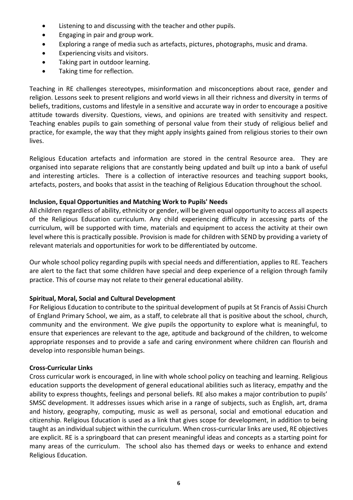- Listening to and discussing with the teacher and other pupils.
- Engaging in pair and group work.
- Exploring a range of media such as artefacts, pictures, photographs, music and drama.
- Experiencing visits and visitors.
- Taking part in outdoor learning.
- Taking time for reflection.

Teaching in RE challenges stereotypes, misinformation and misconceptions about race, gender and religion. Lessons seek to present religions and world views in all their richness and diversity in terms of beliefs, traditions, customs and lifestyle in a sensitive and accurate way in order to encourage a positive attitude towards diversity. Questions, views, and opinions are treated with sensitivity and respect. Teaching enables pupils to gain something of personal value from their study of religious belief and practice, for example, the way that they might apply insights gained from religious stories to their own lives.

Religious Education artefacts and information are stored in the central Resource area. They are organised into separate religions that are constantly being updated and built up into a bank of useful and interesting articles. There is a collection of interactive resources and teaching support books, artefacts, posters, and books that assist in the teaching of Religious Education throughout the school.

#### **Inclusion, Equal Opportunities and Matching Work to Pupils' Needs**

All children regardless of ability, ethnicity or gender, will be given equal opportunity to access all aspects of the Religious Education curriculum. Any child experiencing difficulty in accessing parts of the curriculum, will be supported with time, materials and equipment to access the activity at their own level where this is practically possible. Provision is made for children with SEND by providing a variety of relevant materials and opportunities for work to be differentiated by outcome.

Our whole school policy regarding pupils with special needs and differentiation, applies to RE. Teachers are alert to the fact that some children have special and deep experience of a religion through family practice. This of course may not relate to their general educational ability.

#### **Spiritual, Moral, Social and Cultural Development**

For Religious Education to contribute to the spiritual development of pupils at St Francis of Assisi Church of England Primary School, we aim, as a staff, to celebrate all that is positive about the school, church, community and the environment. We give pupils the opportunity to explore what is meaningful, to ensure that experiences are relevant to the age, aptitude and background of the children, to welcome appropriate responses and to provide a safe and caring environment where children can flourish and develop into responsible human beings.

#### **Cross-Curricular Links**

Cross curricular work is encouraged, in line with whole school policy on teaching and learning. Religious education supports the development of general educational abilities such as literacy, empathy and the ability to express thoughts, feelings and personal beliefs. RE also makes a major contribution to pupils' SMSC development. It addresses issues which arise in a range of subjects, such as English, art, drama and history, geography, computing, music as well as personal, social and emotional education and citizenship. Religious Education is used as a link that gives scope for development, in addition to being taught as an individual subject within the curriculum. When cross-curricular links are used, RE objectives are explicit. RE is a springboard that can present meaningful ideas and concepts as a starting point for many areas of the curriculum. The school also has themed days or weeks to enhance and extend Religious Education.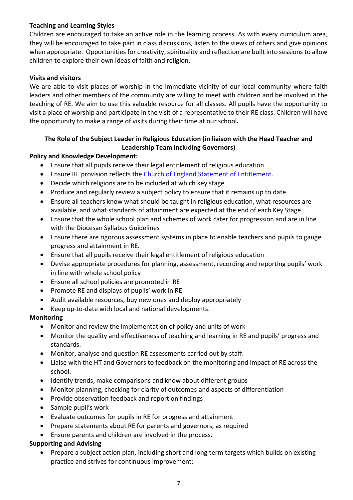# **Teaching and Learning Styles**

Children are encouraged to take an active role in the learning process. As with every curriculum area, they will be encouraged to take part in class discussions, listen to the views of others and give opinions when appropriate. Opportunities for creativity, spirituality and reflection are built into sessions to allow children to explore their own ideas of faith and religion.

### **Visits and visitors**

We are able to visit places of worship in the immediate vicinity of our local community where faith leaders and other members of the community are willing to meet with children and be involved in the teaching of RE. We aim to use this valuable resource for all classes. All pupils have the opportunity to visit a place of worship and participate in the visit of a representative to their RE class. Children will have the opportunity to make a range of visits during their time at our school*.*

# **The Role of the Subject Leader in Religious Education (in liaison with the Head Teacher and Leadership Team including Governors)**

#### **Policy and Knowledge Development:**

- Ensure that all pupils receive their legal entitlement of religious education.
- Ensure RE provision reflects the Church of England Statement of Entitlement.
- Decide which religions are to be included at which key stage
- Produce and regularly review a subject policy to ensure that it remains up to date.
- Ensure all teachers know what should be taught in religious education, what resources are available, and what standards of attainment are expected at the end of each Key Stage.
- Ensure that the whole school plan and schemes of work cater for progression and are in line with the Diocesan Syllabus Guidelines
- Ensure there are rigorous assessment systems in place to enable teachers and pupils to gauge progress and attainment in RE.
- Ensure that all pupils receive their legal entitlement of religious education
- Devise appropriate procedures for planning, assessment, recording and reporting pupils' work in line with whole school policy
- Ensure all school policies are promoted in RE
- Promote RE and displays of pupils' work in RE
- Audit available resources, buy new ones and deploy appropriately
- Keep up-to-date with local and national developments.

#### **Monitoring**

- Monitor and review the implementation of policy and units of work
- Monitor the quality and effectiveness of teaching and learning in RE and pupils' progress and standards.
- Monitor, analyse and question RE assessments carried out by staff.
- Liaise with the HT and Governors to feedback on the monitoring and impact of RE across the school.
- Identify trends, make comparisons and know about different groups
- Monitor planning, checking for clarity of outcomes and aspects of differentiation
- Provide observation feedback and report on findings
- Sample pupil's work
- Evaluate outcomes for pupils in RE for progress and attainment
- Prepare statements about RE for parents and governors, as required
- Ensure parents and children are involved in the process.

#### **Supporting and Advising**

• Prepare a subject action plan, including short and long term targets which builds on existing practice and strives for continuous improvement;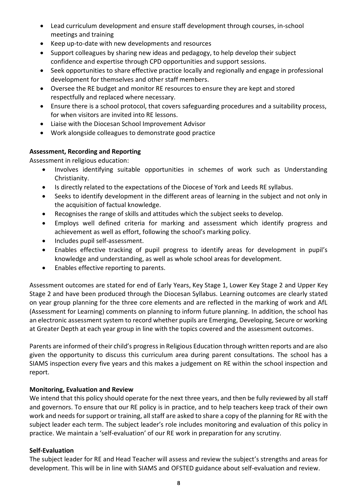- Lead curriculum development and ensure staff development through courses, in-school meetings and training
- Keep up-to-date with new developments and resources
- Support colleagues by sharing new ideas and pedagogy, to help develop their subject confidence and expertise through CPD opportunities and support sessions.
- Seek opportunities to share effective practice locally and regionally and engage in professional development for themselves and other staff members.
- Oversee the RE budget and monitor RE resources to ensure they are kept and stored respectfully and replaced where necessary.
- Ensure there is a school protocol, that covers safeguarding procedures and a suitability process, for when visitors are invited into RE lessons.
- Liaise with the Diocesan School Improvement Advisor
- Work alongside colleagues to demonstrate good practice

# **Assessment, Recording and Reporting**

Assessment in religious education:

- Involves identifying suitable opportunities in schemes of work such as Understanding Christianity.
- Is directly related to the expectations of the Diocese of York and Leeds RE syllabus.
- Seeks to identify development in the different areas of learning in the subject and not only in the acquisition of factual knowledge.
- Recognises the range of skills and attitudes which the subject seeks to develop.
- Employs well defined criteria for marking and assessment which identify progress and achievement as well as effort, following the school's marking policy.
- Includes pupil self-assessment.
- Enables effective tracking of pupil progress to identify areas for development in pupil's knowledge and understanding, as well as whole school areas for development.
- Enables effective reporting to parents.

Assessment outcomes are stated for end of Early Years, Key Stage 1, Lower Key Stage 2 and Upper Key Stage 2 and have been produced through the Diocesan Syllabus. Learning outcomes are clearly stated on year group planning for the three core elements and are reflected in the marking of work and AfL (Assessment for Learning) comments on planning to inform future planning. In addition, the school has an electronic assessment system to record whether pupils are Emerging, Developing, Secure or working at Greater Depth at each year group in line with the topics covered and the assessment outcomes.

Parents are informed of their child's progress in Religious Education through written reports and are also given the opportunity to discuss this curriculum area during parent consultations. The school has a SIAMS inspection every five years and this makes a judgement on RE within the school inspection and report.

# **Monitoring, Evaluation and Review**

We intend that this policy should operate for the next three years, and then be fully reviewed by all staff and governors. To ensure that our RE policy is in practice, and to help teachers keep track of their own work and needs for support or training, all staff are asked to share a copy of the planning for RE with the subject leader each term. The subject leader's role includes monitoring and evaluation of this policy in practice. We maintain a 'self-evaluation' of our RE work in preparation for any scrutiny.

# **Self-Evaluation**

The subject leader for RE and Head Teacher will assess and review the subject's strengths and areas for development. This will be in line with SIAMS and OFSTED guidance about self-evaluation and review.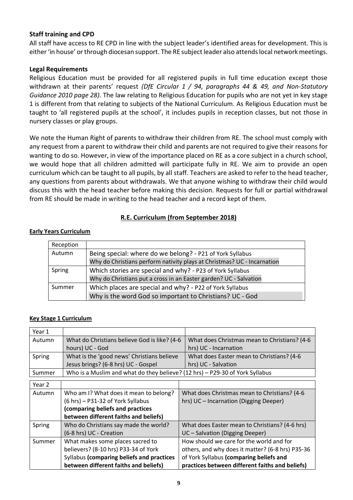#### **Staff training and CPD**

All staff have access to RE CPD in line with the subject leader's identified areas for development. This is either 'in house' or through diocesan support. The RE subject leader also attends local network meetings.

#### **Legal Requirements**

Religious Education must be provided for all registered pupils in full time education except those withdrawn at their parents' request *(DfE Circular 1 / 94, paragraphs 44 & 49, and Non-Statutory Guidance 2010 page 28).* The law relating to Religious Education for pupils who are not yet in key stage 1 is different from that relating to subjects of the National Curriculum. As Religious Education must be taught to 'all registered pupils at the school', it includes pupils in reception classes, but not those in nursery classes or play groups.

We note the Human Right of parents to withdraw their children from RE. The school must comply with any request from a parent to withdraw their child and parents are not required to give their reasons for wanting to do so. However, in view of the importance placed on RE as a core subject in a church school, we would hope that all children admitted will participate fully in RE. We aim to provide an open curriculum which can be taught to all pupils, by all staff. Teachers are asked to refer to the head teacher, any questions from parents about withdrawals. We that anyone wishing to withdraw their child would discuss this with the head teacher before making this decision. Requests for full or partial withdrawal from RE should be made in writing to the head teacher and a record kept of them.

# **R.E. Curriculum (from September 2018)**

#### **Early Years Curriculum**

| Reception |                                                                         |
|-----------|-------------------------------------------------------------------------|
| Autumn    | Being special: where do we belong? - P21 of York Syllabus               |
|           | Why do Christians perform nativity plays at Christmas? UC - Incarnation |
| Spring    | Which stories are special and why? - P23 of York Syllabus               |
|           | Why do Christians put a cross in an Easter garden? UC - Salvation       |
| Summer    | Which places are special and why? - P22 of York Syllabus                |
|           | Why is the word God so important to Christians? UC - God                |

#### **Key Stage 1 Curriculum**

| Year 1 |                                                                              |                                                  |
|--------|------------------------------------------------------------------------------|--------------------------------------------------|
| Autumn | What do Christians believe God is like? (4-6                                 | What does Christmas mean to Christians? (4-6     |
|        | hours) UC - God                                                              | hrs) UC - Incarnation                            |
| Spring | What is the 'good news' Christians believe                                   | What does Easter mean to Christians? (4-6        |
|        | Jesus brings? (6-8 hrs) UC - Gospel                                          | hrs) UC - Salvation                              |
| Summer | Who is a Muslim and what do they believe? (12 hrs) - P29-30 of York Syllabus |                                                  |
| Year 2 |                                                                              |                                                  |
| Autumn | Who am I? What does it mean to belong?                                       | What does Christmas mean to Christians? (4-6     |
|        | (6 hrs) - P31-32 of York Syllabus                                            | hrs) UC - Incarnation (Digging Deeper)           |
|        | (comparing beliefs and practices                                             |                                                  |
|        | between different faiths and beliefs)                                        |                                                  |
| Spring | Who do Christians say made the world?                                        | What does Easter mean to Christians? (4-6 hrs)   |
|        | (6-8 hrs) UC - Creation                                                      | UC - Salvation (Digging Deeper)                  |
| Summer | What makes some places sacred to                                             | How should we care for the world and for         |
|        | believers? (8-10 hrs) P33-34 of York                                         | others, and why does it matter? (6-8 hrs) P35-36 |
|        | Syllabus (comparing beliefs and practices                                    | of York Syllabus (comparing beliefs and          |
|        | between different faiths and beliefs)                                        | practices between different faiths and beliefs)  |